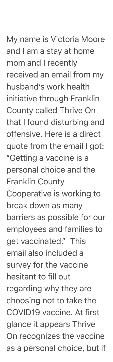My name is Victoria Moore and I am a stay at home mom and I recently received an email from my husband's work health initiative through Franklin County called Thrive On that I found disturbing and offensive. Here is a direct quote from the email I got: "Getting a vaccine is a personal choice and the Franklin County Cooperative is working to break down as many barriers as possible for our employees and families to get vaccinated." This email also included a survey for the vaccine hesitant to fill out regarding why they are choosing not to take the COVID19 vaccine. At first glance it appears Thrive On recognizes the vaccine as a personal choice, but if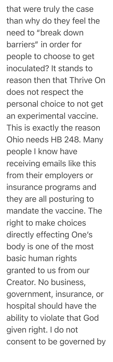that were truly the case than why do they feel the need to "break down barriers" in order for people to choose to get inoculated? It stands to reason then that Thrive On does not respect the personal choice to not get an experimental vaccine. This is exactly the reason Ohio needs HB 248. Many people I know have receiving emails like this from their employers or insurance programs and they are all posturing to mandate the vaccine. The right to make choices directly effecting One's body is one of the most basic human rights granted to us from our Creator. No business, government, insurance, or hospital should have the ability to violate that God given right. I do not consent to be governed by